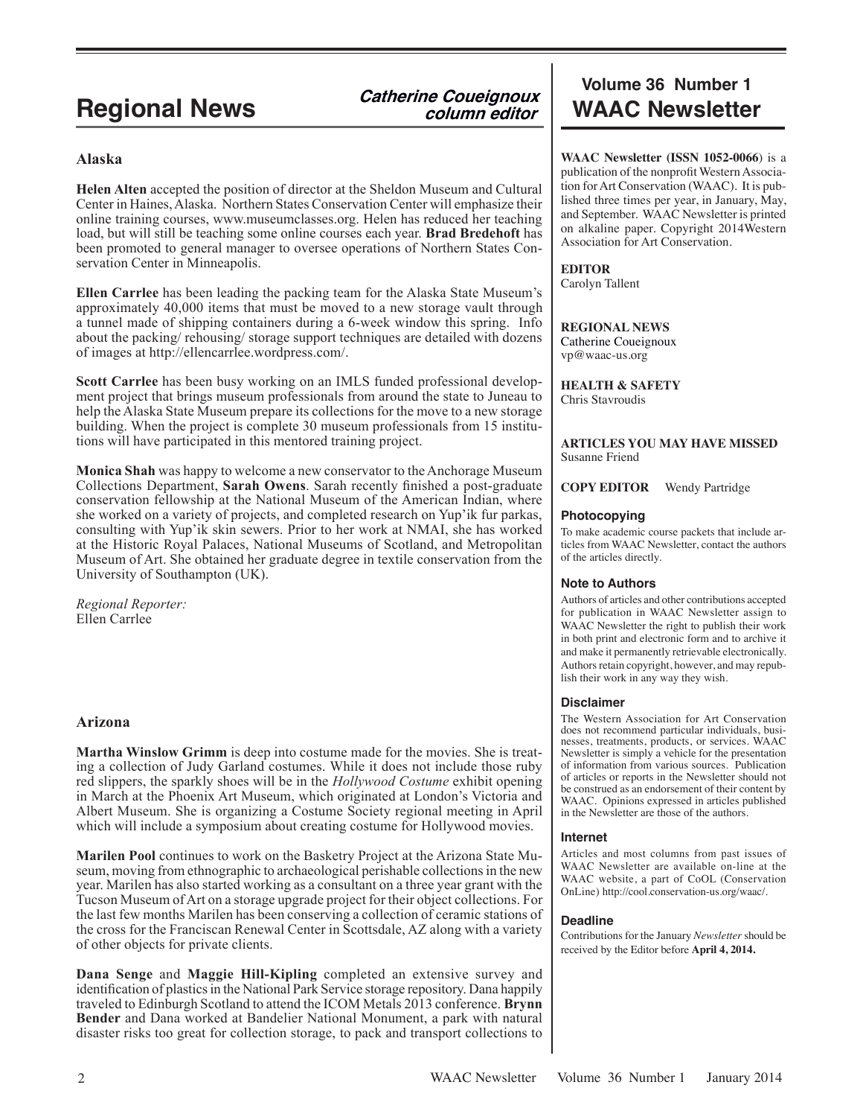# **Catherine Coueignoux column editor**

# **Alaska**

**Helen Alten** accepted the position of director at the Sheldon Museum and Cultural Center in Haines, Alaska. Northern States Conservation Center will emphasize their online training courses, www.museumclasses.org. Helen has reduced her teaching load, but will still be teaching some online courses each year. **Brad Bredehoft** has been promoted to general manager to oversee operations of Northern States Conservation Center in Minneapolis.

**Ellen Carrlee** has been leading the packing team for the Alaska State Museum's approximately 40,000 items that must be moved to a new storage vault through a tunnel made of shipping containers during a 6-week window this spring. Info about the packing/ rehousing/ storage support techniques are detailed with dozens of images at http://ellencarrlee.wordpress.com/.

**Scott Carrlee** has been busy working on an IMLS funded professional development project that brings museum professionals from around the state to Juneau to help the Alaska State Museum prepare its collections for the move to a new storage building. When the project is complete 30 museum professionals from 15 institutions will have participated in this mentored training project.

**Monica Shah** was happy to welcome a new conservator to the Anchorage Museum Collections Department, **Sarah Owens**. Sarah recently finished a post-graduate conservation fellowship at the National Museum of the American Indian, where she worked on a variety of projects, and completed research on Yup'ik fur parkas, consulting with Yup'ik skin sewers. Prior to her work at NMAI, she has worked at the Historic Royal Palaces, National Museums of Scotland, and Metropolitan Museum of Art. She obtained her graduate degree in textile conservation from the University of Southampton (UK).

*Regional Reporter:* Ellen Carrlee

# **Arizona**

**Martha Winslow Grimm** is deep into costume made for the movies. She is treating a collection of Judy Garland costumes. While it does not include those ruby red slippers, the sparkly shoes will be in the *Hollywood Costume* exhibit opening in March at the Phoenix Art Museum, which originated at London's Victoria and Albert Museum. She is organizing a Costume Society regional meeting in April which will include a symposium about creating costume for Hollywood movies.

**Marilen Pool** continues to work on the Basketry Project at the Arizona State Museum, moving from ethnographic to archaeological perishable collections in the new year. Marilen has also started working as a consultant on a three year grant with the Tucson Museum of Art on a storage upgrade project for their object collections. For the last few months Marilen has been conserving a collection of ceramic stations of the cross for the Franciscan Renewal Center in Scottsdale, AZ along with a variety of other objects for private clients.

**Dana Senge** and **Maggie Hill-Kipling** completed an extensive survey and identification of plastics in the National Park Service storage repository. Dana happily traveled to Edinburgh Scotland to attend the ICOM Metals 2013 conference. **Brynn Bender** and Dana worked at Bandelier National Monument, a park with natural disaster risks too great for collection storage, to pack and transport collections to

# **Volume 36 Number 1 Regional News WAAC Newsletter**

**WAAC Newsletter (ISSN 1052-0066**) is a publication of the nonprofit Western Association for Art Conservation (WAAC). It is published three times per year, in January, May, and September. WAAC Newsletter is printed on alkaline paper. Copyright 2014Western Association for Art Conservation.

# **EDITOR**

Carolyn Tallent

# **REGIONAL NEWS**

Catherine Coueignoux vp@waac-us.org

**HEALTH & SAFETY**

Chris Stavroudis

#### **ARTICLES YOU MAY HAVE MISSED** Susanne Friend

**COPY EDITOR** Wendy Partridge

#### **Photocopying**

To make academic course packets that include articles from WAAC Newsletter, contact the authors of the articles directly.

## **Note to Authors**

Authors of articles and other contributions accepted for publication in WAAC Newsletter assign to WAAC Newsletter the right to publish their work in both print and electronic form and to archive it and make it permanently retrievable electronically. Authors retain copyright, however, and may republish their work in any way they wish.

## **Disclaimer**

The Western Association for Art Conservation does not recommend particular individuals, businesses, treatments, products, or services. WAAC Newsletter is simply a vehicle for the presentation of information from various sources. Publication of articles or reports in the Newsletter should not be construed as an endorsement of their content by WAAC. Opinions expressed in articles published in the Newsletter are those of the authors.

## **Internet**

Articles and most columns from past issues of WAAC Newsletter are available on-line at the WAAC website, a part of CoOL (Conservation OnLine) http://cool.conservation-us.org/waac/.

## **Deadline**

Contributions for the January *Newsletter* should be received by the Editor before **April 4, 2014.**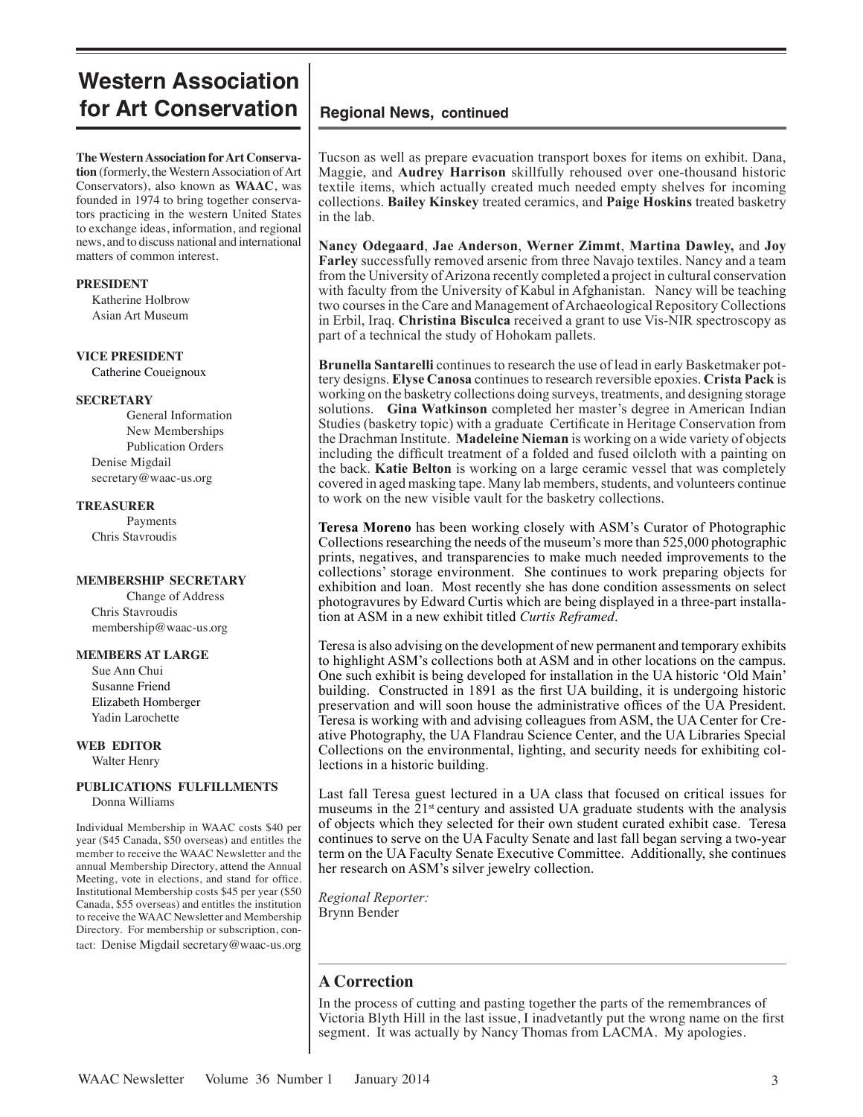# **Western Association for Art Conservation** | Regional News, continued

**The Western Association for Art Conservation** (formerly, the Western Association of Art Conservators), also known as **WAAC**, was founded in 1974 to bring together conservators practicing in the western United States to exchange ideas, information, and regional news, and to discuss national and international matters of common interest.

#### **PRESIDENT**

 Katherine Holbrow Asian Art Museum

#### **VICE PRESIDENT**

Catherine Coueignoux

## **SECRETARY**

General Information New Memberships Publication Orders Denise Migdail secretary@waac-us.org

#### **TREASURER**

Payments Chris Stavroudis

#### **MEMBERSHIP SECRETARY**

Change of Address Chris Stavroudis membership@waac-us.org

## **MEMBERS AT LARGE**

 Sue Ann Chui Susanne Friend Elizabeth Homberger Yadin Larochette

#### **WEB EDITOR** Walter Henry

# **PUBLICATIONS FULFILLMENTS** Donna Williams

Individual Membership in WAAC costs \$40 per year (\$45 Canada, \$50 overseas) and entitles the member to receive the WAAC Newsletter and the annual Membership Directory, attend the Annual Meeting, vote in elections, and stand for office. Institutional Membership costs \$45 per year (\$50 Canada, \$55 overseas) and entitles the institution to receive the WAAC Newsletter and Membership Directory. For membership or subscription, contact: Denise Migdail secretary@waac-us.org

Tucson as well as prepare evacuation transport boxes for items on exhibit. Dana, Maggie, and **Audrey Harrison** skillfully rehoused over one-thousand historic textile items, which actually created much needed empty shelves for incoming collections. **Bailey Kinskey** treated ceramics, and **Paige Hoskins** treated basketry in the lab.

**Nancy Odegaard**, **Jae Anderson**, **Werner Zimmt**, **Martina Dawley,** and **Joy Farley** successfully removed arsenic from three Navajo textiles. Nancy and a team from the University of Arizona recently completed a project in cultural conservation with faculty from the University of Kabul in Afghanistan. Nancy will be teaching two courses in the Care and Management of Archaeological Repository Collections in Erbil, Iraq. **Christina Bisculca** received a grant to use Vis-NIR spectroscopy as part of a technical the study of Hohokam pallets.

**Brunella Santarelli** continues to research the use of lead in early Basketmaker pottery designs. **Elyse Canosa** continues to research reversible epoxies. **Crista Pack** is working on the basketry collections doing surveys, treatments, and designing storage solutions. **Gina Watkinson** completed her master's degree in American Indian Studies (basketry topic) with a graduate Certificate in Heritage Conservation from the Drachman Institute. **Madeleine Nieman** is working on a wide variety of objects including the difficult treatment of a folded and fused oilcloth with a painting on the back. **Katie Belton** is working on a large ceramic vessel that was completely covered in aged masking tape. Many lab members, students, and volunteers continue to work on the new visible vault for the basketry collections.

**Teresa Moreno** has been working closely with ASM's Curator of Photographic Collections researching the needs of the museum's more than 525,000 photographic prints, negatives, and transparencies to make much needed improvements to the collections' storage environment. She continues to work preparing objects for exhibition and loan. Most recently she has done condition assessments on select photogravures by Edward Curtis which are being displayed in a three-part installation at ASM in a new exhibit titled *Curtis Reframed*.

Teresa is also advising on the development of new permanent and temporary exhibits to highlight ASM's collections both at ASM and in other locations on the campus. One such exhibit is being developed for installation in the UA historic 'Old Main' building. Constructed in 1891 as the first UA building, it is undergoing historic preservation and will soon house the administrative offices of the UA President. Teresa is working with and advising colleagues from ASM, the UA Center for Creative Photography, the UA Flandrau Science Center, and the UA Libraries Special Collections on the environmental, lighting, and security needs for exhibiting collections in a historic building.

Last fall Teresa guest lectured in a UA class that focused on critical issues for museums in the  $21<sup>st</sup>$  century and assisted UA graduate students with the analysis of objects which they selected for their own student curated exhibit case. Teresa continues to serve on the UA Faculty Senate and last fall began serving a two-year term on the UA Faculty Senate Executive Committee. Additionally, she continues her research on ASM's silver jewelry collection.

*Regional Reporter:* Brynn Bender

# **A Correction**

In the process of cutting and pasting together the parts of the remembrances of Victoria Blyth Hill in the last issue, I inadvetantly put the wrong name on the first segment. It was actually by Nancy Thomas from LACMA. My apologies.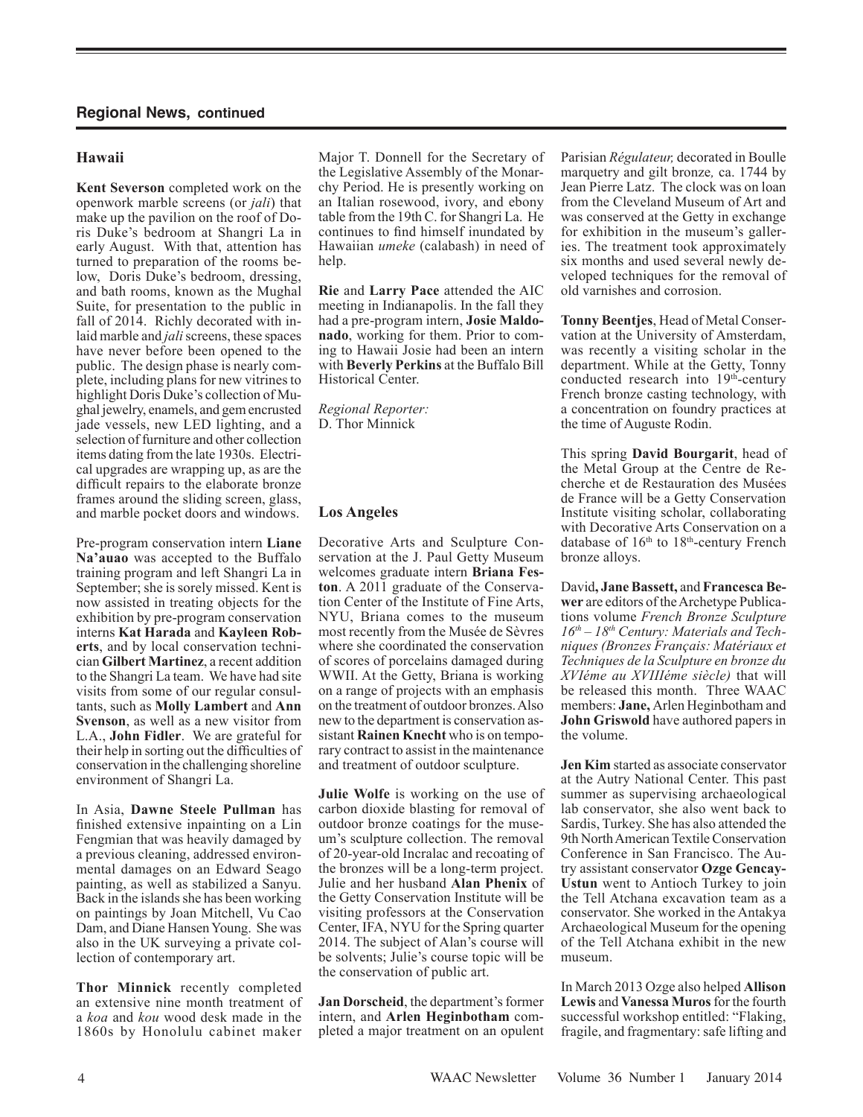# **Hawaii**

**Kent Severson** completed work on the openwork marble screens (or *jali*) that make up the pavilion on the roof of Doris Duke's bedroom at Shangri La in early August. With that, attention has turned to preparation of the rooms below, Doris Duke's bedroom, dressing, and bath rooms, known as the Mughal Suite, for presentation to the public in fall of 2014. Richly decorated with inlaid marble and *jali*screens, these spaces have never before been opened to the public. The design phase is nearly complete, including plans for new vitrines to highlight Doris Duke's collection of Mughal jewelry, enamels, and gem encrusted jade vessels, new LED lighting, and a selection of furniture and other collection items dating from the late 1930s. Electrical upgrades are wrapping up, as are the difficult repairs to the elaborate bronze frames around the sliding screen, glass, and marble pocket doors and windows.

Pre-program conservation intern **Liane Na'auao** was accepted to the Buffalo training program and left Shangri La in September; she is sorely missed. Kent is now assisted in treating objects for the exhibition by pre-program conservation interns **Kat Harada** and **Kayleen Roberts**, and by local conservation technician **Gilbert Martinez**, a recent addition to the Shangri La team. We have had site visits from some of our regular consultants, such as **Molly Lambert** and **Ann Svenson**, as well as a new visitor from L.A., **John Fidler**. We are grateful for their help in sorting out the difficulties of conservation in the challenging shoreline environment of Shangri La.

In Asia, **Dawne Steele Pullman** has finished extensive inpainting on a Lin Fengmian that was heavily damaged by a previous cleaning, addressed environmental damages on an Edward Seago painting, as well as stabilized a Sanyu. Back in the islands she has been working on paintings by Joan Mitchell, Vu Cao Dam, and Diane Hansen Young. She was also in the UK surveying a private collection of contemporary art.

**Thor Minnick** recently completed an extensive nine month treatment of a *koa* and *kou* wood desk made in the 1860s by Honolulu cabinet maker

Major T. Donnell for the Secretary of the Legislative Assembly of the Monarchy Period. He is presently working on an Italian rosewood, ivory, and ebony table from the 19th C. for Shangri La. He continues to find himself inundated by Hawaiian *umeke* (calabash) in need of help.

**Rie** and **Larry Pace** attended the AIC meeting in Indianapolis. In the fall they had a pre-program intern, **Josie Maldonado**, working for them. Prior to coming to Hawaii Josie had been an intern with **Beverly Perkins** at the Buffalo Bill Historical Center.

*Regional Reporter:* D. Thor Minnick

# **Los Angeles**

Decorative Arts and Sculpture Conservation at the J. Paul Getty Museum welcomes graduate intern **Briana Feston**. A 2011 graduate of the Conservation Center of the Institute of Fine Arts, NYU, Briana comes to the museum most recently from the Musée de Sèvres where she coordinated the conservation of scores of porcelains damaged during WWII. At the Getty, Briana is working on a range of projects with an emphasis on the treatment of outdoor bronzes. Also new to the department is conservation assistant **Rainen Knecht** who is on temporary contract to assist in the maintenance and treatment of outdoor sculpture.

**Julie Wolfe** is working on the use of carbon dioxide blasting for removal of outdoor bronze coatings for the museum's sculpture collection. The removal of 20-year-old Incralac and recoating of the bronzes will be a long-term project. Julie and her husband **Alan Phenix** of the Getty Conservation Institute will be visiting professors at the Conservation Center, IFA, NYU for the Spring quarter 2014. The subject of Alan's course will be solvents; Julie's course topic will be the conservation of public art.

**Jan Dorscheid**, the department's former intern, and **Arlen Heginbotham** completed a major treatment on an opulent Parisian *Régulateur,* decorated in Boulle marquetry and gilt bronze*,* ca. 1744 by Jean Pierre Latz. The clock was on loan from the Cleveland Museum of Art and was conserved at the Getty in exchange for exhibition in the museum's galleries. The treatment took approximately six months and used several newly developed techniques for the removal of old varnishes and corrosion.

**Tonny Beentjes**, Head of Metal Conservation at the University of Amsterdam, was recently a visiting scholar in the department. While at the Getty, Tonny conducted research into 19th-century French bronze casting technology, with a concentration on foundry practices at the time of Auguste Rodin.

This spring **David Bourgarit**, head of the Metal Group at the Centre de Recherche et de Restauration des Musées de France will be a Getty Conservation Institute visiting scholar, collaborating with Decorative Arts Conservation on a database of 16<sup>th</sup> to 18<sup>th</sup>-century French bronze alloys.

David**, Jane Bassett,** and **Francesca Bewer** are editors of the Archetype Publications volume *French Bronze Sculpture 16th – 18th Century: Materials and Techniques (Bronzes Français: Matériaux et Techniques de la Sculpture en bronze du XVIéme au XVIIIéme siècle)* that will be released this month. Three WAAC members: **Jane,** Arlen Heginbotham and **John Griswold** have authored papers in the volume.

**Jen Kim** started as associate conservator at the Autry National Center. This past summer as supervising archaeological lab conservator, she also went back to Sardis, Turkey. She has also attended the 9th North American Textile Conservation Conference in San Francisco. The Autry assistant conservator **Ozge Gencay-Ustun** went to Antioch Turkey to join the Tell Atchana excavation team as a conservator. She worked in the Antakya Archaeological Museum for the opening of the Tell Atchana exhibit in the new museum.

In March 2013 Ozge also helped **Allison Lewis** and **Vanessa Muros** for the fourth successful workshop entitled: "Flaking, fragile, and fragmentary: safe lifting and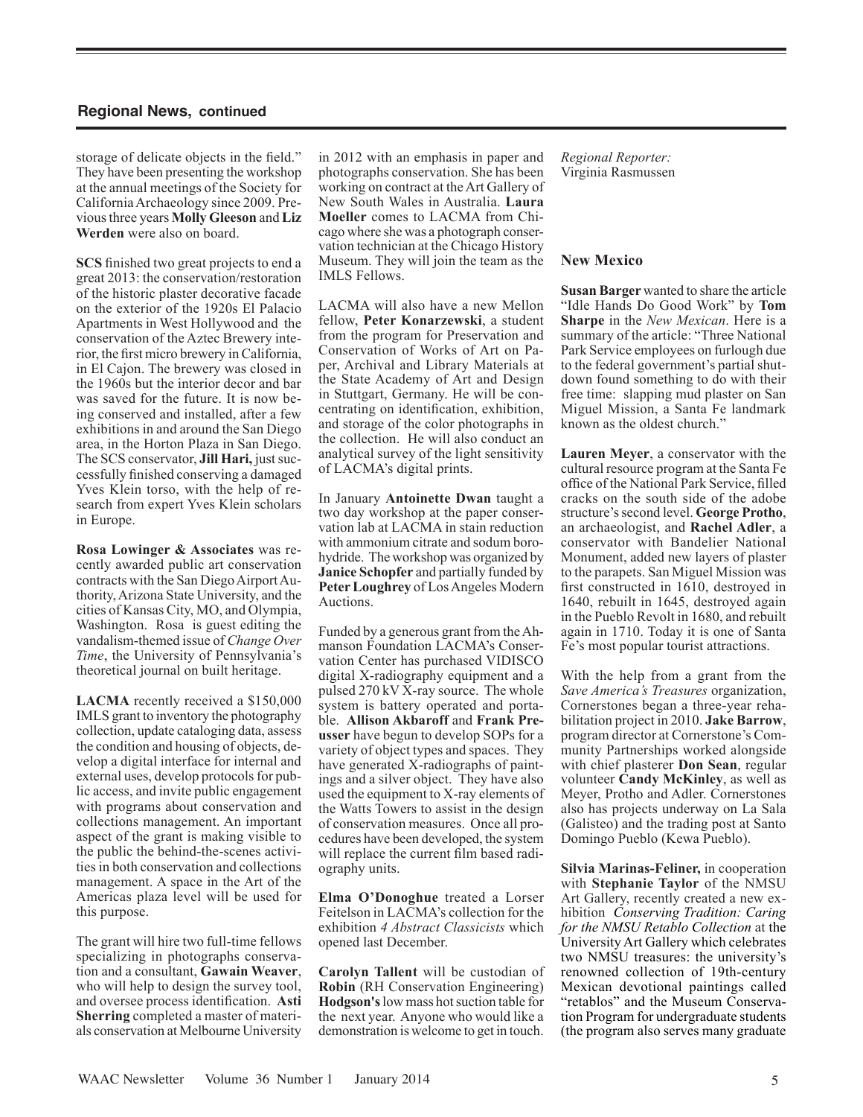storage of delicate objects in the field." They have been presenting the workshop at the annual meetings of the Society for California Archaeology since 2009. Previous three years **Molly Gleeson** and **Liz Werden** were also on board.

**SCS** finished two great projects to end a great 2013: the conservation/restoration of the historic plaster decorative facade on the exterior of the 1920s El Palacio Apartments in West Hollywood and the conservation of the Aztec Brewery interior, the first micro brewery in California, in El Cajon. The brewery was closed in the 1960s but the interior decor and bar was saved for the future. It is now being conserved and installed, after a few exhibitions in and around the San Diego area, in the Horton Plaza in San Diego. The SCS conservator, **Jill Hari,** just successfully finished conserving a damaged Yves Klein torso, with the help of research from expert Yves Klein scholars in Europe.

**Rosa Lowinger & Associates** was recently awarded public art conservation contracts with the San Diego Airport Authority, Arizona State University, and the cities of Kansas City, MO, and Olympia, Washington. Rosa is guest editing the vandalism-themed issue of *Change Over Time*, the University of Pennsylvania's theoretical journal on built heritage.

**LACMA** recently received a \$150,000 IMLS grant to inventory the photography collection, update cataloging data, assess the condition and housing of objects, develop a digital interface for internal and external uses, develop protocols for public access, and invite public engagement with programs about conservation and collections management. An important aspect of the grant is making visible to the public the behind-the-scenes activities in both conservation and collections management. A space in the Art of the Americas plaza level will be used for this purpose.

The grant will hire two full-time fellows specializing in photographs conservation and a consultant, **Gawain Weaver**, who will help to design the survey tool, and oversee process identification. **Asti Sherring** completed a master of materials conservation at Melbourne University

in 2012 with an emphasis in paper and photographs conservation. She has been working on contract at the Art Gallery of New South Wales in Australia. **Laura Moeller** comes to LACMA from Chicago where she was a photograph conservation technician at the Chicago History Museum. They will join the team as the IMLS Fellows.

LACMA will also have a new Mellon fellow, **Peter Konarzewski**, a student from the program for Preservation and Conservation of Works of Art on Paper, Archival and Library Materials at the State Academy of Art and Design in Stuttgart, Germany. He will be concentrating on identification, exhibition, and storage of the color photographs in the collection. He will also conduct an analytical survey of the light sensitivity of LACMA's digital prints.

In January **Antoinette Dwan** taught a two day workshop at the paper conservation lab at LACMA in stain reduction with ammonium citrate and sodum borohydride. The workshop was organized by **Janice Schopfer** and partially funded by **Peter Loughrey** of Los Angeles Modern Auctions.

Funded by a generous grant from the Ahmanson Foundation LACMA's Conservation Center has purchased VIDISCO digital X-radiography equipment and a pulsed 270 kV X-ray source. The whole system is battery operated and portable. **Allison Akbaroff** and **Frank Preusser** have begun to develop SOPs for a variety of object types and spaces. They have generated X-radiographs of paintings and a silver object. They have also used the equipment to X-ray elements of the Watts Towers to assist in the design of conservation measures. Once all procedures have been developed, the system will replace the current film based radiography units.

**Elma O'Donoghue** treated a Lorser Feitelson in LACMA's collection for the exhibition *4 Abstract Classicists* which opened last December.

**Carolyn Tallent** will be custodian of **Robin** (RH Conservation Engineering) **Hodgson's** low mass hot suction table for the next year. Anyone who would like a demonstration is welcome to get in touch. *Regional Reporter:* Virginia Rasmussen

# **New Mexico**

**Susan Barger** wanted to share the article "Idle Hands Do Good Work" by **Tom Sharpe** in the *New Mexican*. Here is a summary of the article: "Three National Park Service employees on furlough due to the federal government's partial shutdown found something to do with their free time: slapping mud plaster on San Miguel Mission, a Santa Fe landmark known as the oldest church."

**Lauren Meyer**, a conservator with the cultural resource program at the Santa Fe office of the National Park Service, filled cracks on the south side of the adobe structure's second level. **George Protho**, an archaeologist, and **Rachel Adler**, a conservator with Bandelier National Monument, added new layers of plaster to the parapets. San Miguel Mission was first constructed in 1610, destroyed in 1640, rebuilt in 1645, destroyed again in the Pueblo Revolt in 1680, and rebuilt again in 1710. Today it is one of Santa Fe's most popular tourist attractions.

With the help from a grant from the *Save America's Treasures* organization, Cornerstones began a three-year rehabilitation project in 2010. **Jake Barrow**, program director at Cornerstone's Community Partnerships worked alongside with chief plasterer **Don Sean**, regular volunteer **Candy McKinley**, as well as Meyer, Protho and Adler. Cornerstones also has projects underway on La Sala (Galisteo) and the trading post at Santo Domingo Pueblo (Kewa Pueblo).

**Silvia Marinas-Feliner,** in cooperation with **Stephanie Taylor** of the NMSU Art Gallery, recently created a new exhibition *Conserving Tradition: Caring for the NMSU Retablo Collection* at the University Art Gallery which celebrates two NMSU treasures: the university's renowned collection of 19th-century Mexican devotional paintings called "retablos" and the Museum Conservation Program for undergraduate students (the program also serves many graduate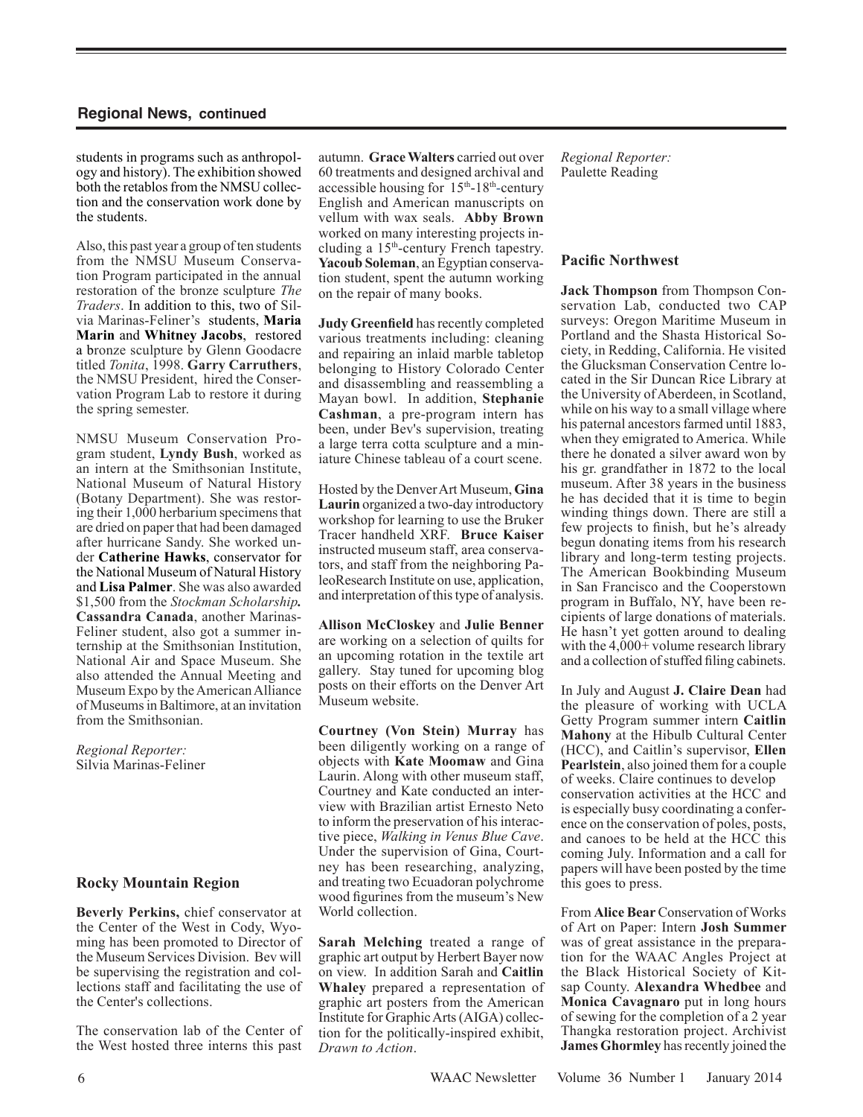students in programs such as anthropology and history). The exhibition showed both the retablos from the NMSU collection and the conservation work done by the students.

Also, this past year a group of ten students from the NMSU Museum Conservation Program participated in the annual restoration of the bronze sculpture *The Traders*. In addition to this, two of Silvia Marinas-Feliner's students, **Maria Marin** and **Whitney Jacobs**, restored a bronze sculpture by Glenn Goodacre titled *Tonita*, 1998. **Garry Carruthers**, the NMSU President, hired the Conservation Program Lab to restore it during the spring semester.

NMSU Museum Conservation Program student, **Lyndy Bush**, worked as an intern at the Smithsonian Institute, National Museum of Natural History (Botany Department). She was restoring their 1,000 herbarium specimens that are dried on paper that had been damaged after hurricane Sandy. She worked under **Catherine Hawks**, conservator for the National Museum of Natural History and **Lisa Palmer**. She was also awarded \$1,500 from the *Stockman Scholarship.*  **Cassandra Canada**, another Marinas-Feliner student, also got a summer internship at the Smithsonian Institution, National Air and Space Museum. She also attended the Annual Meeting and Museum Expo by the American Alliance of Museumsin Baltimore, at an invitation from the Smithsonian.

*Regional Reporter:* Silvia Marinas-Feliner

# **Rocky Mountain Region**

**Beverly Perkins,** chief conservator at the Center of the West in Cody, Wyoming has been promoted to Director of the Museum Services Division. Bev will be supervising the registration and collections staff and facilitating the use of the Center's collections.

The conservation lab of the Center of the West hosted three interns this past

autumn. **Grace Walters** carried out over 60 treatments and designed archival and accessible housing for  $15<sup>th</sup>$ -18<sup>th</sup>-century English and American manuscripts on vellum with wax seals. **Abby Brown** worked on many interesting projects including a 15th-century French tapestry. **Yacoub Soleman**, an Egyptian conservation student, spent the autumn working on the repair of many books.

**Judy Greenfield** has recently completed various treatments including: cleaning and repairing an inlaid marble tabletop belonging to History Colorado Center and disassembling and reassembling a Mayan bowl. In addition, **Stephanie Cashman**, a pre-program intern has been, under Bev's supervision, treating a large terra cotta sculpture and a miniature Chinese tableau of a court scene.

Hosted by the Denver Art Museum, **Gina Laurin** organized a two-day introductory workshop for learning to use the Bruker Tracer handheld XRF. **Bruce Kaiser** instructed museum staff, area conservators, and staff from the neighboring PaleoResearch Institute on use, application, and interpretation of this type of analysis.

**Allison McCloskey** and **Julie Benner** are working on a selection of quilts for an upcoming rotation in the textile art gallery. Stay tuned for upcoming blog posts on their efforts on the Denver Art Museum website.

**Courtney (Von Stein) Murray** has been diligently working on a range of objects with **Kate Moomaw** and Gina Laurin. Along with other museum staff, Courtney and Kate conducted an interview with Brazilian artist Ernesto Neto to inform the preservation of his interactive piece, *Walking in Venus Blue Cave*. Under the supervision of Gina, Courtney has been researching, analyzing, and treating two Ecuadoran polychrome wood figurines from the museum's New World collection.

**Sarah Melching** treated a range of graphic art output by Herbert Bayer now on view. In addition Sarah and **Caitlin Whaley** prepared a representation of graphic art posters from the American Institute for Graphic Arts (AIGA) collection for the politically-inspired exhibit, *Drawn to Action*.

*Regional Reporter:* Paulette Reading

# **Pacific Northwest**

**Jack Thompson** from Thompson Conservation Lab, conducted two CAP surveys: Oregon Maritime Museum in Portland and the Shasta Historical Society, in Redding, California. He visited the Glucksman Conservation Centre located in the Sir Duncan Rice Library at the University of Aberdeen, in Scotland, while on his way to a small village where his paternal ancestors farmed until 1883, when they emigrated to America. While there he donated a silver award won by his gr. grandfather in 1872 to the local museum. After 38 years in the business he has decided that it is time to begin winding things down. There are still a few projects to finish, but he's already begun donating items from his research library and long-term testing projects. The American Bookbinding Museum in San Francisco and the Cooperstown program in Buffalo, NY, have been recipients of large donations of materials. He hasn't yet gotten around to dealing with the 4,000+ volume research library and a collection of stuffed filing cabinets.

In July and August **J. Claire Dean** had the pleasure of working with UCLA Getty Program summer intern **Caitlin Mahony** at the Hibulb Cultural Center (HCC), and Caitlin's supervisor, **Ellen Pearlstein**, also joined them for a couple of weeks. Claire continues to develop conservation activities at the HCC and is especially busy coordinating a conference on the conservation of poles, posts, and canoes to be held at the HCC this coming July. Information and a call for papers will have been posted by the time this goes to press.

From **Alice Bear** Conservation of Works of Art on Paper: Intern **Josh Summer**  was of great assistance in the preparation for the WAAC Angles Project at the Black Historical Society of Kitsap County. **Alexandra Whedbee** and **Monica Cavagnaro** put in long hours of sewing for the completion of a 2 year Thangka restoration project. Archivist **James Ghormley** has recently joined the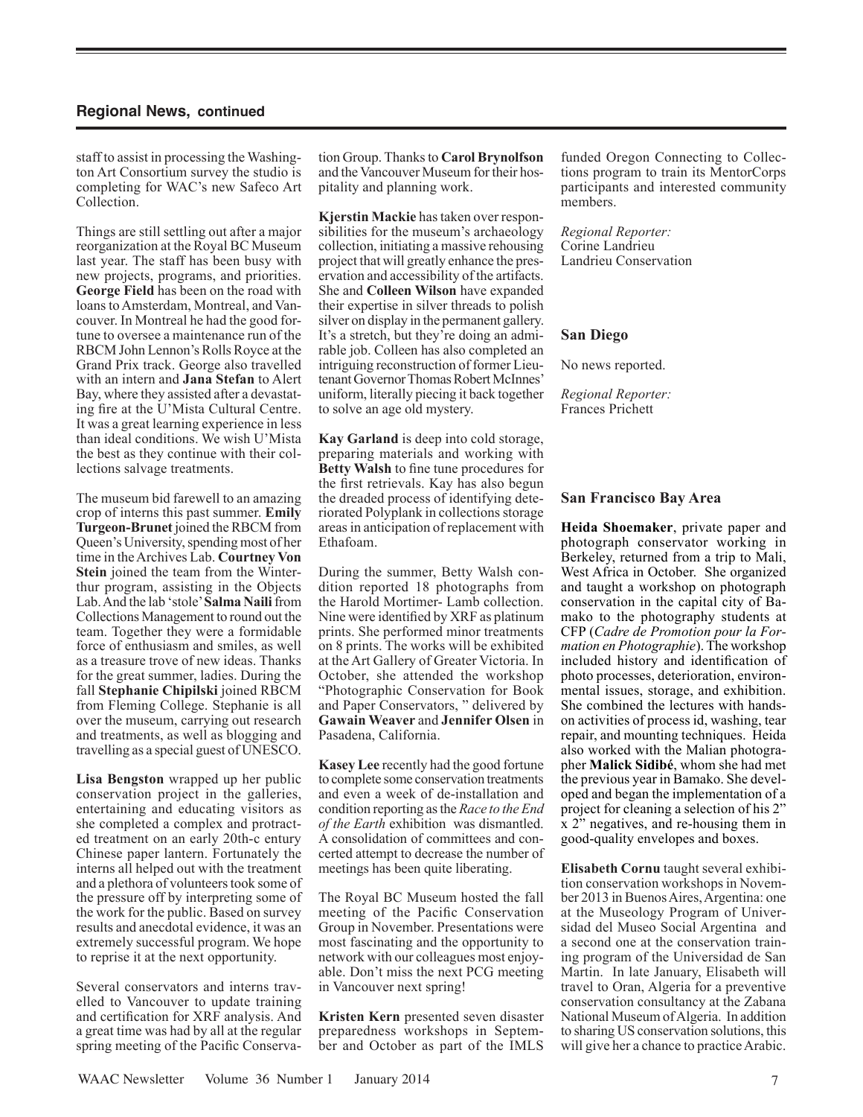staff to assist in processing the Washington Art Consortium survey the studio is completing for WAC's new Safeco Art Collection.

Things are still settling out after a major reorganization at the Royal BC Museum last year. The staff has been busy with new projects, programs, and priorities. **George Field** has been on the road with loans to Amsterdam, Montreal, and Vancouver. In Montreal he had the good fortune to oversee a maintenance run of the RBCM John Lennon's Rolls Royce at the Grand Prix track. George also travelled with an intern and **Jana Stefan** to Alert Bay, where they assisted after a devastating fire at the U'Mista Cultural Centre. It was a great learning experience in less than ideal conditions. We wish U'Mista the best as they continue with their collections salvage treatments.

The museum bid farewell to an amazing crop of interns this past summer. **Emily Turgeon-Brunet** joined the RBCM from Queen's University, spending most of her time in the Archives Lab. **Courtney Von Stein** joined the team from the Winterthur program, assisting in the Objects Lab. And the lab 'stole' **Salma Naili** from Collections Management to round out the team. Together they were a formidable force of enthusiasm and smiles, as well as a treasure trove of new ideas. Thanks for the great summer, ladies. During the fall **Stephanie Chipilski** joined RBCM from Fleming College. Stephanie is all over the museum, carrying out research and treatments, as well as blogging and travelling as a special guest of UNESCO.

**Lisa Bengston** wrapped up her public conservation project in the galleries, entertaining and educating visitors as she completed a complex and protracted treatment on an early 20th-c entury Chinese paper lantern. Fortunately the interns all helped out with the treatment and a plethora of volunteers took some of the pressure off by interpreting some of the work for the public. Based on survey results and anecdotal evidence, it was an extremely successful program. We hope to reprise it at the next opportunity.

Several conservators and interns travelled to Vancouver to update training and certification for XRF analysis. And a great time was had by all at the regular spring meeting of the Pacific Conserva-

tion Group. Thanks to **Carol Brynolfson**  and the Vancouver Museum for their hospitality and planning work.

**Kjerstin Mackie** has taken over responsibilities for the museum's archaeology collection, initiating a massive rehousing project that will greatly enhance the preservation and accessibility of the artifacts. She and **Colleen Wilson** have expanded their expertise in silver threads to polish silver on display in the permanent gallery. It's a stretch, but they're doing an admirable job. Colleen has also completed an intriguing reconstruction of former Lieutenant Governor Thomas Robert McInnes' uniform, literally piecing it back together to solve an age old mystery.

**Kay Garland** is deep into cold storage, preparing materials and working with **Betty Walsh** to fine tune procedures for the first retrievals. Kay has also begun the dreaded process of identifying deteriorated Polyplank in collections storage areas in anticipation of replacement with Ethafoam.

During the summer, Betty Walsh condition reported 18 photographs from the Harold Mortimer- Lamb collection. Nine were identified by XRF as platinum prints. She performed minor treatments on 8 prints. The works will be exhibited at the Art Gallery of Greater Victoria. In October, she attended the workshop "Photographic Conservation for Book and Paper Conservators, " delivered by **Gawain Weaver** and **Jennifer Olsen** in Pasadena, California.

**Kasey Lee** recently had the good fortune to complete some conservation treatments and even a week of de-installation and condition reporting as the *Race to the End of the Earth* exhibition was dismantled. A consolidation of committees and concerted attempt to decrease the number of meetings has been quite liberating.

The Royal BC Museum hosted the fall meeting of the Pacific Conservation Group in November. Presentations were most fascinating and the opportunity to network with our colleagues most enjoyable. Don't miss the next PCG meeting in Vancouver next spring!

**Kristen Kern** presented seven disaster preparedness workshops in September and October as part of the IMLS funded Oregon Connecting to Collections program to train its MentorCorps participants and interested community members.

*Regional Reporter:* Corine Landrieu Landrieu Conservation

## **San Diego**

No news reported.

*Regional Reporter:* Frances Prichett

#### **San Francisco Bay Area**

**Heida Shoemaker**, private paper and photograph conservator working in Berkeley, returned from a trip to Mali, West Africa in October. She organized and taught a workshop on photograph conservation in the capital city of Bamako to the photography students at CFP (*Cadre de Promotion pour la Formation en Photographie*). The workshop included history and identification of photo processes, deterioration, environmental issues, storage, and exhibition. She combined the lectures with handson activities of process id, washing, tear repair, and mounting techniques. Heida also worked with the Malian photographer **Malick Sidibé**, whom she had met the previous year in Bamako. She developed and began the implementation of a project for cleaning a selection of his 2" x 2" negatives, and re-housing them in good-quality envelopes and boxes.

**Elisabeth Cornu** taught several exhibition conservation workshops in November 2013 in Buenos Aires, Argentina: one at the Museology Program of Universidad del Museo Social Argentina and a second one at the conservation training program of the Universidad de San Martin. In late January, Elisabeth will travel to Oran, Algeria for a preventive conservation consultancy at the Zabana National Museum of Algeria. In addition to sharing US conservation solutions, this will give her a chance to practice Arabic.